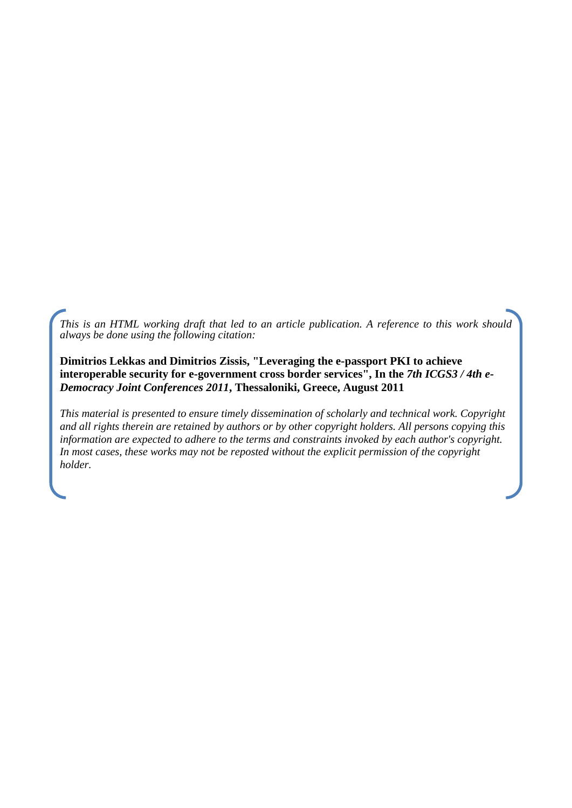*This is an HTML working draft that led to an article publication. A reference to this work should always be done using the following citation:*

**Dimitrios Lekkas and Dimitrios Zissis, "Leveraging the e-passport PKI to achieve**  interoperable security for e-government cross border services", In the 7th ICGS3 / 4th e-*Democracy Joint Conferences 2011***, Thessaloniki, Greece, August 2011**

*This material is presented to ensure timely dissemination of scholarly and technical work. Copyright and all rights therein are retained by authors or by other copyright holders. All persons copying this information are expected to adhere to the terms and constraints invoked by each author's copyright. In most cases, these works may not be reposted without the explicit permission of the copyright holder.*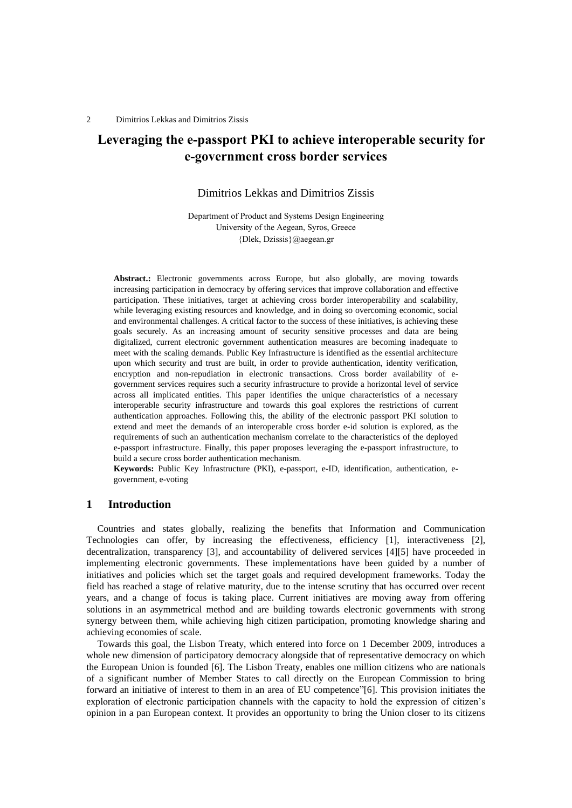# **Leveraging the e-passport PKI to achieve interoperable security for e-government cross border services**

## Dimitrios Lekkas and Dimitrios Zissis

Department of Product and Systems Design Engineering University of the Aegean, Syros, Greece {Dlek, Dzissis}@aegean.gr

**Abstract.:** Electronic governments across Europe, but also globally, are moving towards increasing participation in democracy by offering services that improve collaboration and effective participation. These initiatives, target at achieving cross border interoperability and scalability, while leveraging existing resources and knowledge, and in doing so overcoming economic, social and environmental challenges. A critical factor to the success of these initiatives, is achieving these goals securely. As an increasing amount of security sensitive processes and data are being digitalized, current electronic government authentication measures are becoming inadequate to meet with the scaling demands. Public Key Infrastructure is identified as the essential architecture upon which security and trust are built, in order to provide authentication, identity verification, encryption and non-repudiation in electronic transactions. Cross border availability of egovernment services requires such a security infrastructure to provide a horizontal level of service across all implicated entities. This paper identifies the unique characteristics of a necessary interoperable security infrastructure and towards this goal explores the restrictions of current authentication approaches. Following this, the ability of the electronic passport PKI solution to extend and meet the demands of an interoperable cross border e-id solution is explored, as the requirements of such an authentication mechanism correlate to the characteristics of the deployed e-passport infrastructure. Finally, this paper proposes leveraging the e-passport infrastructure, to build a secure cross border authentication mechanism.

**Keywords:** Public Key Infrastructure (PKI), e-passport, e-ID, identification, authentication, egovernment, e-voting

## **1 Introduction**

Countries and states globally, realizing the benefits that Information and Communication Technologies can offer, by increasing the effectiveness, efficiency [1], interactiveness [2], decentralization, transparency [3], and accountability of delivered services [4][5] have proceeded in implementing electronic governments. These implementations have been guided by a number of initiatives and policies which set the target goals and required development frameworks. Today the field has reached a stage of relative maturity, due to the intense scrutiny that has occurred over recent years, and a change of focus is taking place. Current initiatives are moving away from offering solutions in an asymmetrical method and are building towards electronic governments with strong synergy between them, while achieving high citizen participation, promoting knowledge sharing and achieving economies of scale.

Towards this goal, the Lisbon Treaty, which entered into force on 1 December 2009, introduces a whole new dimension of participatory democracy alongside that of representative democracy on which the European Union is founded [6]. The Lisbon Treaty, enables one million citizens who are nationals of a significant number of Member States to call directly on the European Commission to bring forward an initiative of interest to them in an area of EU competence"[6]. This provision initiates the exploration of electronic participation channels with the capacity to hold the expression of citizen's opinion in a pan European context. It provides an opportunity to bring the Union closer to its citizens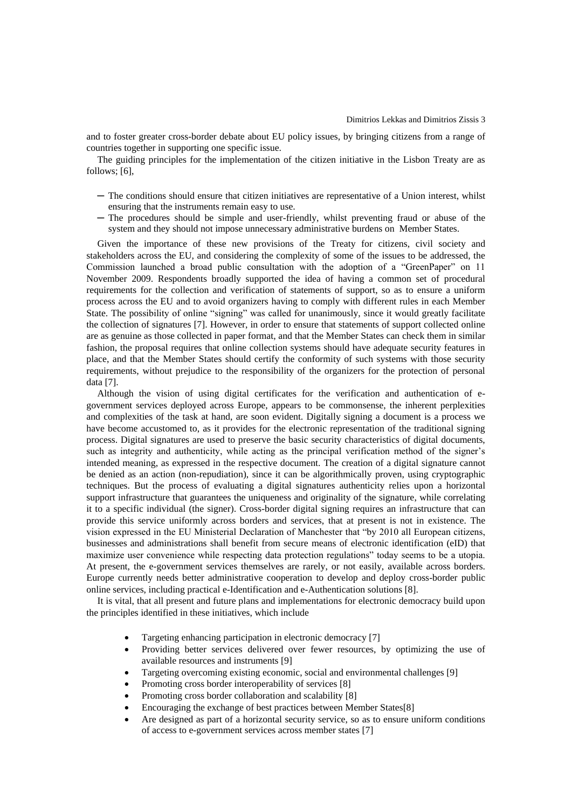and to foster greater cross-border debate about EU policy issues, by bringing citizens from a range of countries together in supporting one specific issue.

The guiding principles for the implementation of the citizen initiative in the Lisbon Treaty are as follows; [6],

- ─ The conditions should ensure that citizen initiatives are representative of a Union interest, whilst ensuring that the instruments remain easy to use.
- ─ The procedures should be simple and user-friendly, whilst preventing fraud or abuse of the system and they should not impose unnecessary administrative burdens on Member States.

Given the importance of these new provisions of the Treaty for citizens, civil society and stakeholders across the EU, and considering the complexity of some of the issues to be addressed, the Commission launched a broad public consultation with the adoption of a "GreenPaper" on 11 November 2009. Respondents broadly supported the idea of having a common set of procedural requirements for the collection and verification of statements of support, so as to ensure a uniform process across the EU and to avoid organizers having to comply with different rules in each Member State. The possibility of online "signing" was called for unanimously, since it would greatly facilitate the collection of signatures [7]. However, in order to ensure that statements of support collected online are as genuine as those collected in paper format, and that the Member States can check them in similar fashion, the proposal requires that online collection systems should have adequate security features in place, and that the Member States should certify the conformity of such systems with those security requirements, without prejudice to the responsibility of the organizers for the protection of personal data [7].

Although the vision of using digital certificates for the verification and authentication of egovernment services deployed across Europe, appears to be commonsense, the inherent perplexities and complexities of the task at hand, are soon evident. Digitally signing a document is a process we have become accustomed to, as it provides for the electronic representation of the traditional signing process. Digital signatures are used to preserve the basic security characteristics of digital documents, such as integrity and authenticity, while acting as the principal verification method of the signer's intended meaning, as expressed in the respective document. The creation of a digital signature cannot be denied as an action (non-repudiation), since it can be algorithmically proven, using cryptographic techniques. But the process of evaluating a digital signatures authenticity relies upon a horizontal support infrastructure that guarantees the uniqueness and originality of the signature, while correlating it to a specific individual (the signer). Cross-border digital signing requires an infrastructure that can provide this service uniformly across borders and services, that at present is not in existence. The vision expressed in the EU Ministerial Declaration of Manchester that "by 2010 all European citizens, businesses and administrations shall benefit from secure means of electronic identification (eID) that maximize user convenience while respecting data protection regulations" today seems to be a utopia. At present, the e-government services themselves are rarely, or not easily, available across borders. Europe currently needs better administrative cooperation to develop and deploy cross-border public online services, including practical e-Identification and e-Authentication solutions [8].

It is vital, that all present and future plans and implementations for electronic democracy build upon the principles identified in these initiatives, which include

- Targeting enhancing participation in electronic democracy [7]
- Providing better services delivered over fewer resources, by optimizing the use of available resources and instruments [9]
- Targeting overcoming existing economic, social and environmental challenges [9]
- Promoting cross border interoperability of services [8]
- Promoting cross border collaboration and scalability [8]
- Encouraging the exchange of best practices between Member States[8]
- Are designed as part of a horizontal security service, so as to ensure uniform conditions of access to e-government services across member states [7]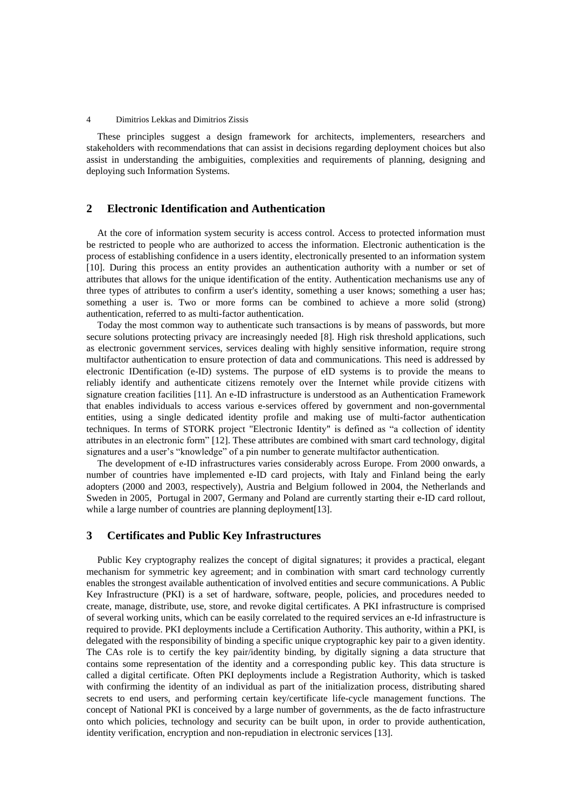These principles suggest a design framework for architects, implementers, researchers and stakeholders with recommendations that can assist in decisions regarding deployment choices but also assist in understanding the ambiguities, complexities and requirements of planning, designing and deploying such Information Systems.

## **2 Electronic Identification and Authentication**

At the core of information system security is access control. Access to protected information must be restricted to people who are authorized to access the information. Electronic authentication is the process of establishing confidence in a users identity, electronically presented to an information system [10]. During this process an entity provides an authentication authority with a number or set of attributes that allows for the unique identification of the entity. Authentication mechanisms use any of three types of attributes to confirm a user's identity, something a user knows; something a user has; something a user is. Two or more forms can be combined to achieve a more solid (strong) authentication, referred to as multi-factor authentication.

Today the most common way to authenticate such transactions is by means of passwords, but more secure solutions protecting privacy are increasingly needed [8]. High risk threshold applications, such as electronic government services, services dealing with highly sensitive information, require strong multifactor authentication to ensure protection of data and communications. This need is addressed by electronic IDentification (e-ID) systems. The purpose of eID systems is to provide the means to reliably identify and authenticate citizens remotely over the Internet while provide citizens with signature creation facilities [11]. An e-ID infrastructure is understood as an Authentication Framework that enables individuals to access various e-services offered by government and non-governmental entities, using a single dedicated identity profile and making use of multi-factor authentication techniques. In terms of STORK project "Electronic Identity" is defined as "a collection of identity attributes in an electronic form" [12]. These attributes are combined with smart card technology, digital signatures and a user's "knowledge" of a pin number to generate multifactor authentication.

The development of e-ID infrastructures varies considerably across Europe. From 2000 onwards, a number of countries have implemented e-ID card projects, with Italy and Finland being the early adopters (2000 and 2003, respectively), Austria and Belgium followed in 2004, the Netherlands and Sweden in 2005, Portugal in 2007, Germany and Poland are currently starting their e-ID card rollout, while a large number of countries are planning deployment[13].

#### **3 Certificates and Public Key Infrastructures**

Public Key cryptography realizes the concept of digital signatures; it provides a practical, elegant mechanism for symmetric key agreement; and in combination with smart card technology currently enables the strongest available authentication of involved entities and secure communications. A Public Key Infrastructure (PKI) is a set of hardware, software, people, policies, and procedures needed to create, manage, distribute, use, store, and revoke digital certificates. A PKI infrastructure is comprised of several working units, which can be easily correlated to the required services an e-Id infrastructure is required to provide. PKI deployments include a Certification Authority. This authority, within a PKI, is delegated with the responsibility of binding a specific unique cryptographic key pair to a given identity. The CAs role is to certify the key pair/identity binding, by digitally signing a data structure that contains some representation of the identity and a corresponding public key. This data structure is called a digital certificate. Often PKI deployments include a Registration Authority, which is tasked with confirming the identity of an individual as part of the initialization process, distributing shared secrets to end users, and performing certain key/certificate life-cycle management functions. The concept of National PKI is conceived by a large number of governments, as the de facto infrastructure onto which policies, technology and security can be built upon, in order to provide authentication, identity verification, encryption and non-repudiation in electronic services [13].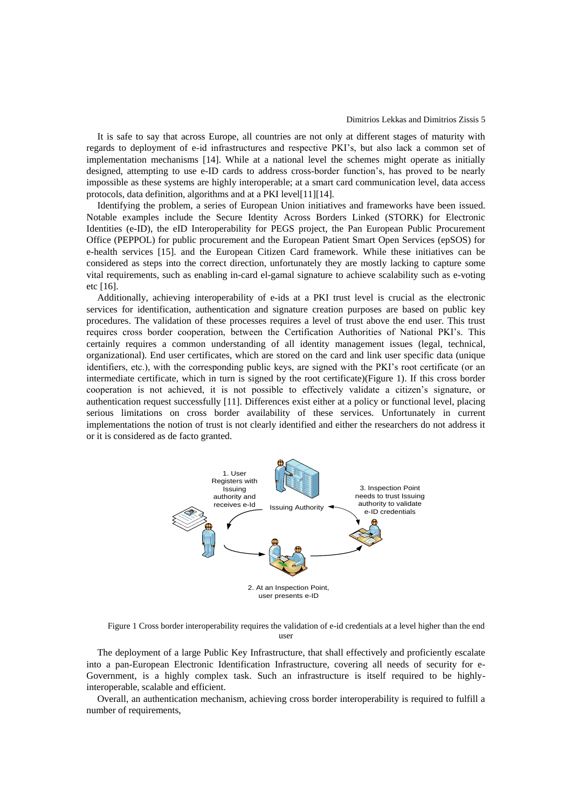It is safe to say that across Europe, all countries are not only at different stages of maturity with regards to deployment of e-id infrastructures and respective PKI's, but also lack a common set of implementation mechanisms [14]. While at a national level the schemes might operate as initially designed, attempting to use e-ID cards to address cross-border function's, has proved to be nearly impossible as these systems are highly interoperable; at a smart card communication level, data access protocols, data definition, algorithms and at a PKI level[11][14].

Identifying the problem, a series of European Union initiatives and frameworks have been issued. Notable examples include the Secure Identity Across Borders Linked (STORK) for Electronic Identities (e-ID), the eID Interoperability for PEGS project, the Pan European Public Procurement Office (PEPPOL) for public procurement and the European Patient Smart Open Services (epSOS) for e-health services [15]. and the European Citizen Card framework. While these initiatives can be considered as steps into the correct direction, unfortunately they are mostly lacking to capture some vital requirements, such as enabling in-card el-gamal signature to achieve scalability such as e-voting etc [16].

Additionally, achieving interoperability of e-ids at a PKI trust level is crucial as the electronic services for identification, authentication and signature creation purposes are based on public key procedures. The validation of these processes requires a level of trust above the end user. This trust requires cross border cooperation, between the Certification Authorities of National PKI's. This certainly requires a common understanding of all identity management issues (legal, technical, organizational). End user certificates, which are stored on the card and link user specific data (unique identifiers, etc.), with the corresponding public keys, are signed with the PKI's root certificate (or an intermediate certificate, which in turn is signed by the root certificate)(Figure 1). If this cross border cooperation is not achieved, it is not possible to effectively validate a citizen's signature, or authentication request successfully [11]. Differences exist either at a policy or functional level, placing serious limitations on cross border availability of these services. Unfortunately in current implementations the notion of trust is not clearly identified and either the researchers do not address it or it is considered as de facto granted.



Figure 1 Cross border interoperability requires the validation of e-id credentials at a level higher than the end user

The deployment of a large Public Key Infrastructure, that shall effectively and proficiently escalate into a pan-European Electronic Identification Infrastructure, covering all needs of security for e-Government, is a highly complex task. Such an infrastructure is itself required to be highlyinteroperable, scalable and efficient.

Overall, an authentication mechanism, achieving cross border interoperability is required to fulfill a number of requirements,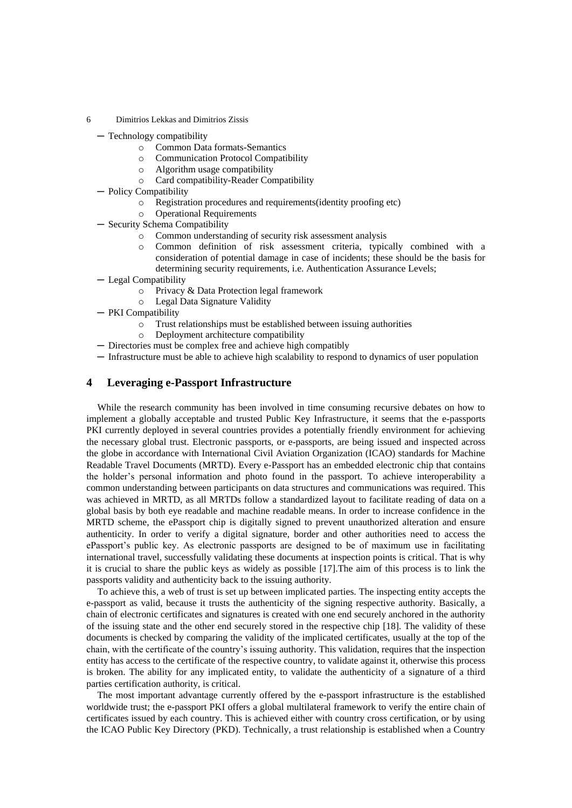- 6 Dimitrios Lekkas and Dimitrios Zissis
	- ─ Technology compatibility
		- o Common Data formats-Semantics
		- o Communication Protocol Compatibility
		- o Algorithm usage compatibility
		- o Card compatibility-Reader Compatibility
	- ─ Policy Compatibility
		- o Registration procedures and requirements(identity proofing etc)
		- o Operational Requirements
	- ─ Security Schema Compatibility
		- o Common understanding of security risk assessment analysis
		- o Common definition of risk assessment criteria, typically combined with a consideration of potential damage in case of incidents; these should be the basis for determining security requirements, i.e. Authentication Assurance Levels;
	- ─ Legal Compatibility
		- o Privacy & Data Protection legal framework
		- o Legal Data Signature Validity
	- ─ PKI Compatibility
		- o Trust relationships must be established between issuing authorities
		- o Deployment architecture compatibility
	- ─ Directories must be complex free and achieve high compatibly
	- ─ Infrastructure must be able to achieve high scalability to respond to dynamics of user population

## **4 Leveraging e-Passport Infrastructure**

While the research community has been involved in time consuming recursive debates on how to implement a globally acceptable and trusted Public Key Infrastructure, it seems that the e-passports PKI currently deployed in several countries provides a potentially friendly environment for achieving the necessary global trust. Electronic passports, or e-passports, are being issued and inspected across the globe in accordance with International Civil Aviation Organization (ICAO) standards for Machine Readable Travel Documents (MRTD). Every e-Passport has an embedded electronic chip that contains the holder's personal information and photo found in the passport. To achieve interoperability a common understanding between participants on data structures and communications was required. This was achieved in MRTD, as all MRTDs follow a standardized layout to facilitate reading of data on a global basis by both eye readable and machine readable means. In order to increase confidence in the MRTD scheme, the ePassport chip is digitally signed to prevent unauthorized alteration and ensure authenticity. In order to verify a digital signature, border and other authorities need to access the ePassport's public key. As electronic passports are designed to be of maximum use in facilitating international travel, successfully validating these documents at inspection points is critical. That is why it is crucial to share the public keys as widely as possible [17].The aim of this process is to link the passports validity and authenticity back to the issuing authority.

To achieve this, a web of trust is set up between implicated parties. The inspecting entity accepts the e-passport as valid, because it trusts the authenticity of the signing respective authority. Basically, a chain of electronic certificates and signatures is created with one end securely anchored in the authority of the issuing state and the other end securely stored in the respective chip [18]. The validity of these documents is checked by comparing the validity of the implicated certificates, usually at the top of the chain, with the certificate of the country's issuing authority. This validation, requires that the inspection entity has access to the certificate of the respective country, to validate against it, otherwise this process is broken. The ability for any implicated entity, to validate the authenticity of a signature of a third parties certification authority, is critical.

The most important advantage currently offered by the e-passport infrastructure is the established worldwide trust; the e-passport PKI offers a global multilateral framework to verify the entire chain of certificates issued by each country. This is achieved either with country cross certification, or by using the ICAO Public Key Directory (PKD). Technically, a trust relationship is established when a Country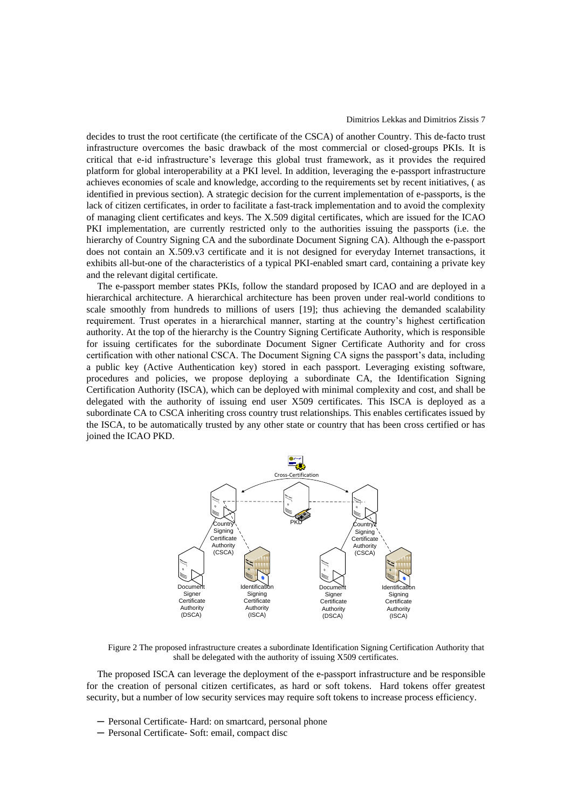decides to trust the root certificate (the certificate of the CSCA) of another Country. This de-facto trust infrastructure overcomes the basic drawback of the most commercial or closed-groups PKIs. It is critical that e-id infrastructure's leverage this global trust framework, as it provides the required platform for global interoperability at a PKI level. In addition, leveraging the e-passport infrastructure achieves economies of scale and knowledge, according to the requirements set by recent initiatives, ( as identified in previous section). A strategic decision for the current implementation of e-passports, is the lack of citizen certificates, in order to facilitate a fast-track implementation and to avoid the complexity of managing client certificates and keys. The X.509 digital certificates, which are issued for the ICAO PKI implementation, are currently restricted only to the authorities issuing the passports (i.e. the hierarchy of Country Signing CA and the subordinate Document Signing CA). Although the e-passport does not contain an X.509.v3 certificate and it is not designed for everyday Internet transactions, it exhibits all-but-one of the characteristics of a typical PKI-enabled smart card, containing a private key and the relevant digital certificate.

The e-passport member states PKIs, follow the standard proposed by ICAO and are deployed in a hierarchical architecture. A hierarchical architecture has been proven under real-world conditions to scale smoothly from hundreds to millions of users [19]; thus achieving the demanded scalability requirement. Trust operates in a hierarchical manner, starting at the country's highest certification authority. At the top of the hierarchy is the Country Signing Certificate Authority, which is responsible for issuing certificates for the subordinate Document Signer Certificate Authority and for cross certification with other national CSCA. The Document Signing CA signs the passport's data, including a public key (Active Authentication key) stored in each passport. Leveraging existing software, procedures and policies, we propose deploying a subordinate CA, the Identification Signing Certification Authority (ISCA), which can be deployed with minimal complexity and cost, and shall be delegated with the authority of issuing end user X509 certificates. This ISCA is deployed as a subordinate CA to CSCA inheriting cross country trust relationships. This enables certificates issued by the ISCA, to be automatically trusted by any other state or country that has been cross certified or has joined the ICAO PKD.



Figure 2 The proposed infrastructure creates a subordinate Identification Signing Certification Authority that shall be delegated with the authority of issuing X509 certificates.

The proposed ISCA can leverage the deployment of the e-passport infrastructure and be responsible for the creation of personal citizen certificates, as hard or soft tokens. Hard tokens offer greatest security, but a number of low security services may require soft tokens to increase process efficiency.

- ─ Personal Certificate- Hard: on smartcard, personal phone
- ─ Personal Certificate- Soft: email, compact disc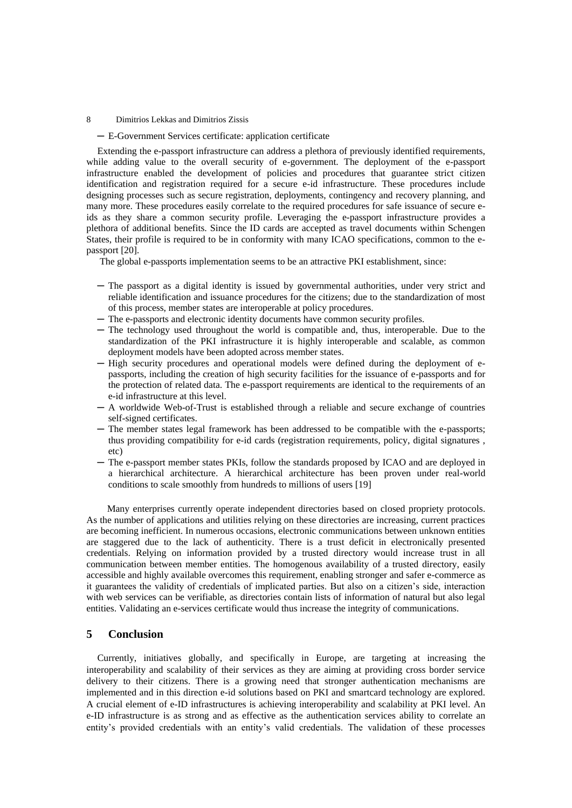─ E-Government Services certificate: application certificate

Extending the e-passport infrastructure can address a plethora of previously identified requirements, while adding value to the overall security of e-government. The deployment of the e-passport infrastructure enabled the development of policies and procedures that guarantee strict citizen identification and registration required for a secure e-id infrastructure. These procedures include designing processes such as secure registration, deployments, contingency and recovery planning, and many more. These procedures easily correlate to the required procedures for safe issuance of secure eids as they share a common security profile. Leveraging the e-passport infrastructure provides a plethora of additional benefits. Since the ID cards are accepted as travel documents within Schengen States, their profile is required to be in conformity with many ICAO specifications, common to the epassport [20].

The global e-passports implementation seems to be an attractive PKI establishment, since:

- ─ The passport as a digital identity is issued by governmental authorities, under very strict and reliable identification and issuance procedures for the citizens; due to the standardization of most of this process, member states are interoperable at policy procedures.
- ─ The e-passports and electronic identity documents have common security profiles.
- ─ The technology used throughout the world is compatible and, thus, interoperable. Due to the standardization of the PKI infrastructure it is highly interoperable and scalable, as common deployment models have been adopted across member states.
- ─ High security procedures and operational models were defined during the deployment of epassports, including the creation of high security facilities for the issuance of e-passports and for the protection of related data. The e-passport requirements are identical to the requirements of an e-id infrastructure at this level.
- ─ A worldwide Web-of-Trust is established through a reliable and secure exchange of countries self-signed certificates.
- ─ The member states legal framework has been addressed to be compatible with the e-passports; thus providing compatibility for e-id cards (registration requirements, policy, digital signatures , etc)
- ─ The e-passport member states PKIs, follow the standards proposed by ICAO and are deployed in a hierarchical architecture. A hierarchical architecture has been proven under real-world conditions to scale smoothly from hundreds to millions of users [19]

Many enterprises currently operate independent directories based on closed propriety protocols. As the number of applications and utilities relying on these directories are increasing, current practices are becoming inefficient. In numerous occasions, electronic communications between unknown entities are staggered due to the lack of authenticity. There is a trust deficit in electronically presented credentials. Relying on information provided by a trusted directory would increase trust in all communication between member entities. The homogenous availability of a trusted directory, easily accessible and highly available overcomes this requirement, enabling stronger and safer e-commerce as it guarantees the validity of credentials of implicated parties. But also on a citizen's side, interaction with web services can be verifiable, as directories contain lists of information of natural but also legal entities. Validating an e-services certificate would thus increase the integrity of communications.

## **5 Conclusion**

Currently, initiatives globally, and specifically in Europe, are targeting at increasing the interoperability and scalability of their services as they are aiming at providing cross border service delivery to their citizens. There is a growing need that stronger authentication mechanisms are implemented and in this direction e-id solutions based on PKI and smartcard technology are explored. A crucial element of e-ID infrastructures is achieving interoperability and scalability at PKI level. An e-ID infrastructure is as strong and as effective as the authentication services ability to correlate an entity's provided credentials with an entity's valid credentials. The validation of these processes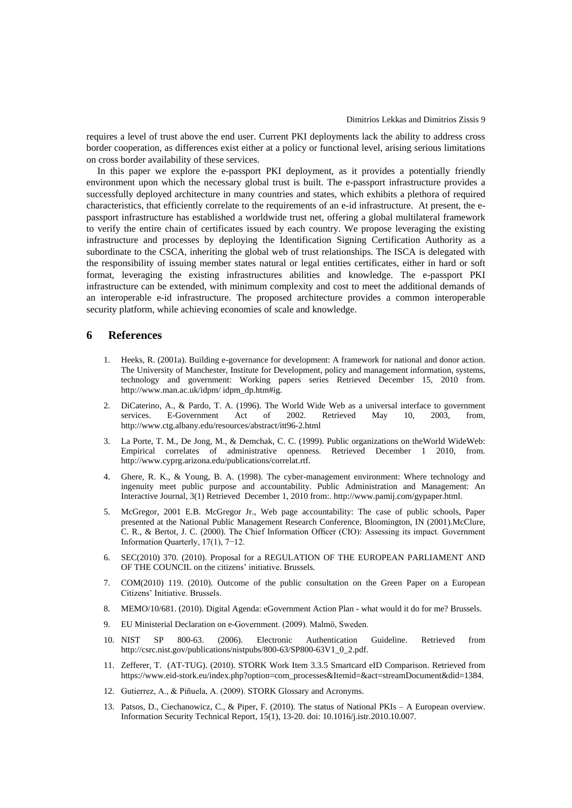requires a level of trust above the end user. Current PKI deployments lack the ability to address cross border cooperation, as differences exist either at a policy or functional level, arising serious limitations on cross border availability of these services.

In this paper we explore the e-passport PKI deployment, as it provides a potentially friendly environment upon which the necessary global trust is built. The e-passport infrastructure provides a successfully deployed architecture in many countries and states, which exhibits a plethora of required characteristics, that efficiently correlate to the requirements of an e-id infrastructure. At present, the epassport infrastructure has established a worldwide trust net, offering a global multilateral framework to verify the entire chain of certificates issued by each country. We propose leveraging the existing infrastructure and processes by deploying the Identification Signing Certification Authority as a subordinate to the CSCA, inheriting the global web of trust relationships. The ISCA is delegated with the responsibility of issuing member states natural or legal entities certificates, either in hard or soft format, leveraging the existing infrastructures abilities and knowledge. The e-passport PKI infrastructure can be extended, with minimum complexity and cost to meet the additional demands of an interoperable e-id infrastructure. The proposed architecture provides a common interoperable security platform, while achieving economies of scale and knowledge.

## **6 References**

- 1. Heeks, R. (2001a). Building e-governance for development: A framework for national and donor action. The University of Manchester, Institute for Development, policy and management information, systems, technology and government: Working papers series Retrieved December 15, 2010 from. http://www.man.ac.uk/idpm/ idpm\_dp.htm#ig.
- 2. DiCaterino, A., & Pardo, T. A. (1996). The World Wide Web as a universal interface to government<br>services. E-Government Act of 2002. Retrieved May 10. 2003. from. E-Government Act of 2002. Retrieved May 10, 2003, from, <http://www.ctg.albany.edu/resources/abstract/itt96-2.html>
- 3. La Porte, T. M., De Jong, M., & Demchak, C. C. (1999). Public organizations on theWorld WideWeb: Empirical correlates of administrative openness. Retrieved December 1 2010, from. [http://www.cyprg.arizona.edu/publications/correlat.rtf.](http://www.cyprg.arizona.edu/publications/correlat.rtf)
- 4. Ghere, R. K., & Young, B. A. (1998). The cyber-management environment: Where technology and ingenuity meet public purpose and accountability. Public Administration and Management: An Interactive Journal, 3(1) Retrieved December 1, 2010 from:[. http://www.pamij.com/gypaper.html.](http://www.pamij.com/gypaper.html)
- 5. McGregor, 2001 E.B. McGregor Jr., Web page accountability: The case of public schools, Paper presented at the National Public Management Research Conference, Bloomington, IN (2001).McClure, C. R., & Bertot, J. C. (2000). The Chief Information Officer (CIO): Assessing its impact. Government Information Quarterly, 17(1), 7−12.
- 6. SEC(2010) 370. (2010). Proposal for a REGULATION OF THE EUROPEAN PARLIAMENT AND OF THE COUNCIL on the citizens' initiative. Brussels.
- 7. COM(2010) 119. (2010). Outcome of the public consultation on the Green Paper on a European Citizens' Initiative. Brussels.
- 8. MEMO/10/681. (2010). Digital Agenda: eGovernment Action Plan what would it do for me? Brussels.
- 9. EU Ministerial Declaration on e-Government. (2009). Malmö, Sweden.
- 10. NIST SP 800-63. (2006). Electronic Authentication Guideline. Retrieved from http://csrc.nist.gov/publications/nistpubs/800-63/SP800-63V1\_0\_2.pdf.
- 11. Zefferer, T. (AT-TUG). (2010). STORK Work Item 3.3.5 Smartcard eID Comparison. Retrieved from https://www.eid-stork.eu/index.php?option=com\_processes&Itemid=&act=streamDocument&did=1384.
- 12. Gutierrez, A., & Piñuela, A. (2009). STORK Glossary and Acronyms.
- 13. Patsos, D., Ciechanowicz, C., & Piper, F. (2010). The status of National PKIs A European overview. Information Security Technical Report, 15(1), 13-20. doi: 10.1016/j.istr.2010.10.007.